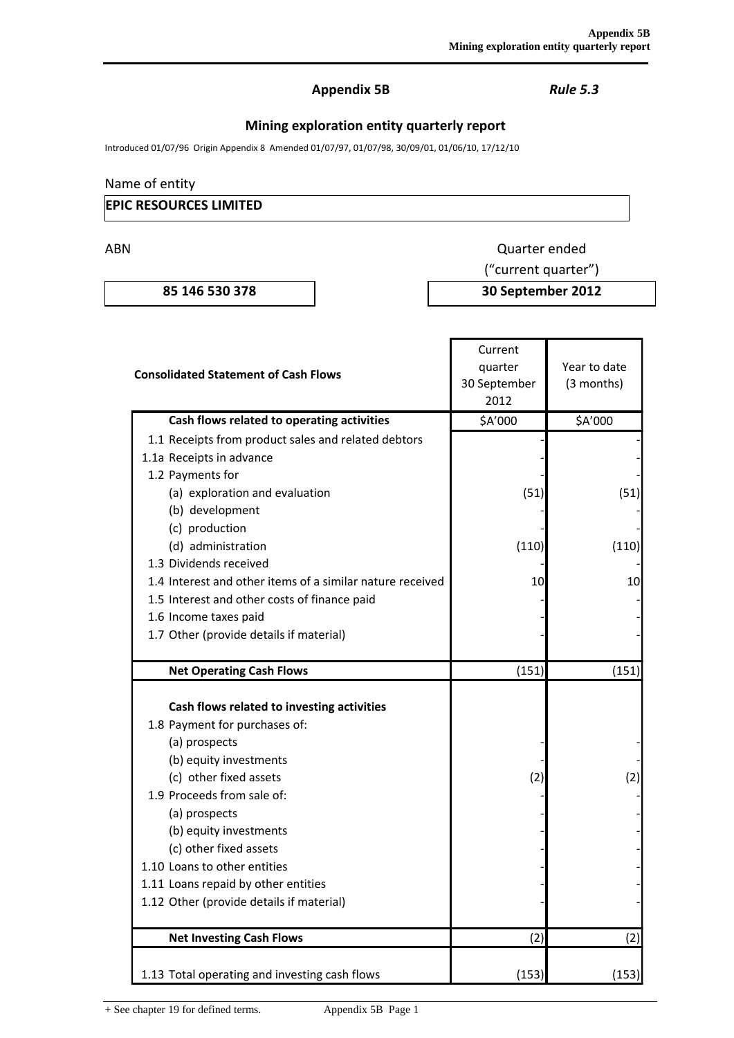## **Appendix 5B** *Rule 5.3*

# **Mining exploration entity quarterly report**

Introduced 01/07/96 Origin Appendix 8 Amended 01/07/97, 01/07/98, 30/09/01, 01/06/10, 17/12/10

### Name of entity

### **EPIC RESOURCES LIMITED**

ABN Quarter ended

**85 146 530 378 30 September 2012**

("current quarter")

|                                                           | Current      |              |  |
|-----------------------------------------------------------|--------------|--------------|--|
| <b>Consolidated Statement of Cash Flows</b>               | quarter      | Year to date |  |
|                                                           | 30 September | (3 months)   |  |
|                                                           | 2012         |              |  |
| Cash flows related to operating activities                | \$A'000      | \$A'000      |  |
| 1.1 Receipts from product sales and related debtors       |              |              |  |
| 1.1a Receipts in advance                                  |              |              |  |
| 1.2 Payments for                                          |              |              |  |
| (a) exploration and evaluation                            | (51)         | (51)         |  |
| (b) development                                           |              |              |  |
| (c) production                                            |              |              |  |
| (d) administration                                        | (110)        | (110)        |  |
| 1.3 Dividends received                                    |              |              |  |
| 1.4 Interest and other items of a similar nature received | 10           | 10           |  |
| 1.5 Interest and other costs of finance paid              |              |              |  |
| 1.6 Income taxes paid                                     |              |              |  |
| 1.7 Other (provide details if material)                   |              |              |  |
|                                                           |              |              |  |
| <b>Net Operating Cash Flows</b>                           | (151)        | (151)        |  |
|                                                           |              |              |  |
| Cash flows related to investing activities                |              |              |  |
| 1.8 Payment for purchases of:                             |              |              |  |
| (a) prospects                                             |              |              |  |
| (b) equity investments                                    |              |              |  |
| (c) other fixed assets                                    | (2)          | (2)          |  |
| 1.9 Proceeds from sale of:                                |              |              |  |
| (a) prospects                                             |              |              |  |
| (b) equity investments                                    |              |              |  |
| (c) other fixed assets                                    |              |              |  |
| 1.10 Loans to other entities                              |              |              |  |
| 1.11 Loans repaid by other entities                       |              |              |  |
| 1.12 Other (provide details if material)                  |              |              |  |
| <b>Net Investing Cash Flows</b>                           | (2)          | (2)          |  |
| 1.13 Total operating and investing cash flows             | (153)        | (153)        |  |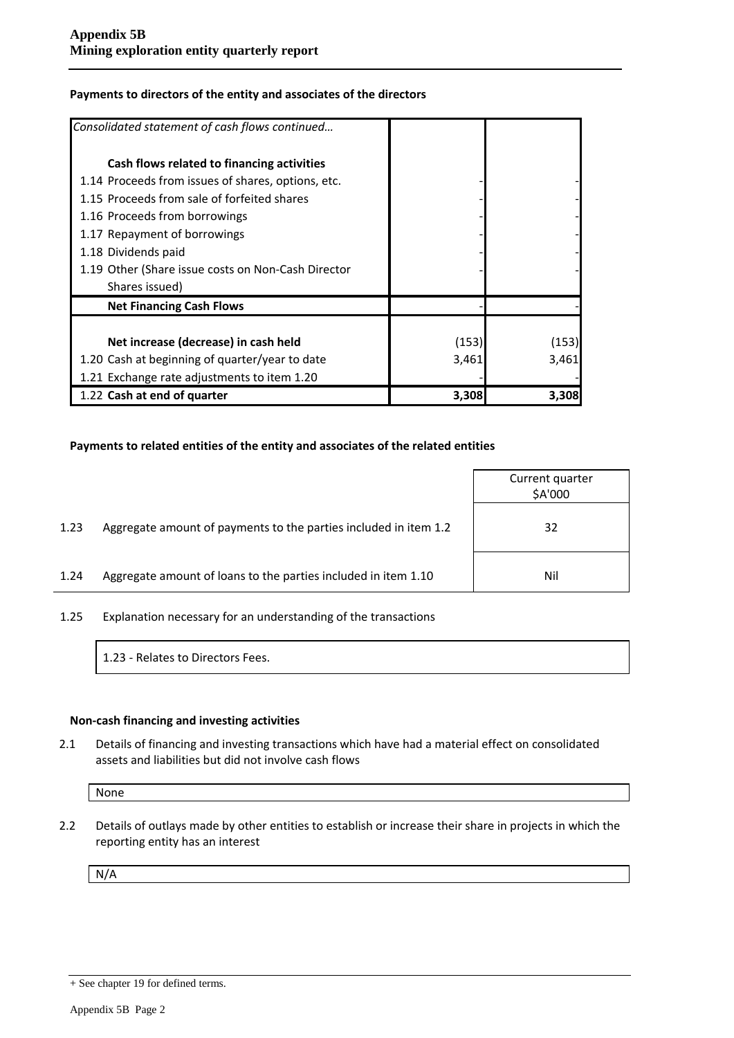#### **Payments to directors of the entity and associates of the directors**

| Consolidated statement of cash flows continued     |       |       |
|----------------------------------------------------|-------|-------|
| Cash flows related to financing activities         |       |       |
| 1.14 Proceeds from issues of shares, options, etc. |       |       |
| 1.15 Proceeds from sale of forfeited shares        |       |       |
| 1.16 Proceeds from borrowings                      |       |       |
| 1.17 Repayment of borrowings                       |       |       |
| 1.18 Dividends paid                                |       |       |
| 1.19 Other (Share issue costs on Non-Cash Director |       |       |
| Shares issued)                                     |       |       |
| <b>Net Financing Cash Flows</b>                    |       |       |
|                                                    |       |       |
| Net increase (decrease) in cash held               | (153) | (153) |
| 1.20 Cash at beginning of quarter/year to date     | 3,461 | 3,461 |
| 1.21 Exchange rate adjustments to item 1.20        |       |       |
| 1.22 Cash at end of quarter                        | 3,308 | 3,308 |

#### **Payments to related entities of the entity and associates of the related entities**

|      |                                                                  | Current quarter<br>\$A'000 |
|------|------------------------------------------------------------------|----------------------------|
| 1.23 | Aggregate amount of payments to the parties included in item 1.2 | 32                         |
| 1.24 | Aggregate amount of loans to the parties included in item 1.10   | Nil                        |

1.25 Explanation necessary for an understanding of the transactions

1.23 - Relates to Directors Fees.

#### **Non-cash financing and investing activities**

2.1 Details of financing and investing transactions which have had a material effect on consolidated assets and liabilities but did not involve cash flows

None

2.2 Details of outlays made by other entities to establish or increase their share in projects in which the reporting entity has an interest

N/A

<sup>+</sup> See chapter 19 for defined terms.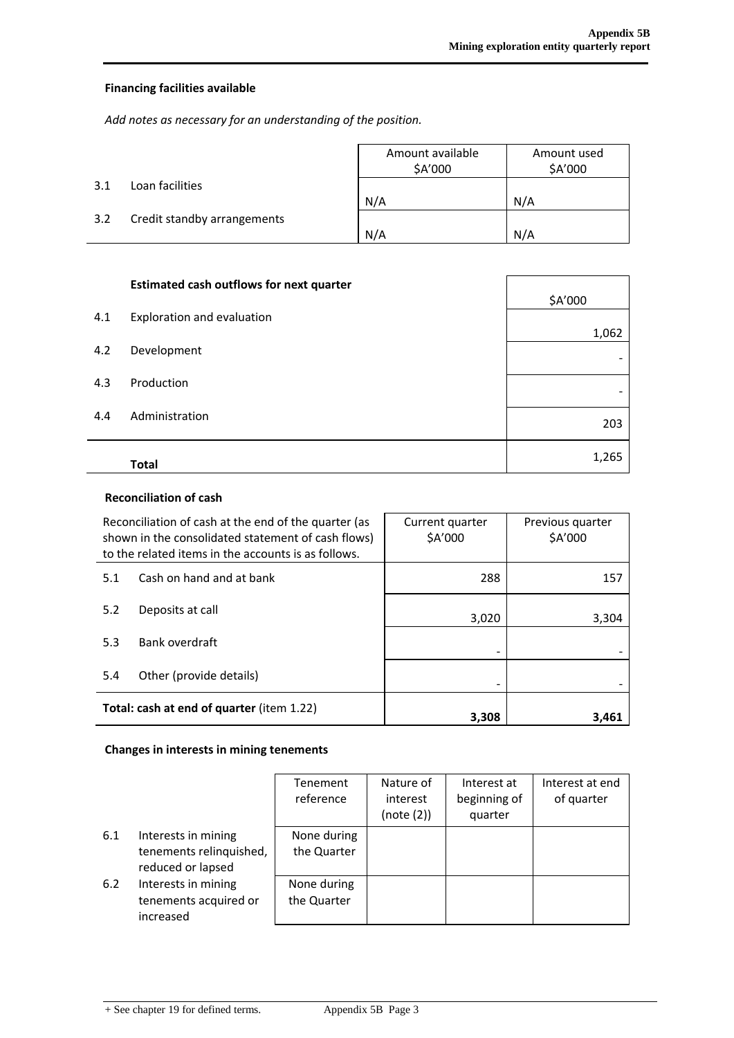### **Financing facilities available**

*Add notes as necessary for an understanding of the position.*

|     |                             | Amount available | Amount used |
|-----|-----------------------------|------------------|-------------|
|     |                             | \$A'000          | \$A'000     |
| 3.1 | Loan facilities             |                  |             |
|     |                             | N/A              | N/A         |
| 3.2 | Credit standby arrangements |                  |             |
|     |                             | N/A              | N/A         |

|     | <b>Estimated cash outflows for next quarter</b> |         |
|-----|-------------------------------------------------|---------|
|     |                                                 | \$A'000 |
| 4.1 | Exploration and evaluation                      | 1,062   |
| 4.2 | Development                                     |         |
| 4.3 | Production                                      |         |
|     |                                                 |         |
| 4.4 | Administration                                  | 203     |
|     | <b>Total</b>                                    | 1,265   |

### **Reconciliation of cash**

| Reconciliation of cash at the end of the quarter (as<br>shown in the consolidated statement of cash flows)<br>to the related items in the accounts is as follows. |                          | Current quarter<br>\$A'000 | Previous quarter<br>\$A'000 |  |
|-------------------------------------------------------------------------------------------------------------------------------------------------------------------|--------------------------|----------------------------|-----------------------------|--|
| 5.1                                                                                                                                                               | Cash on hand and at bank | 288                        | 157                         |  |
| 5.2                                                                                                                                                               | Deposits at call         | 3,020                      | 3,304                       |  |
| 5.3                                                                                                                                                               | Bank overdraft           | -                          |                             |  |
| 5.4                                                                                                                                                               | Other (provide details)  |                            |                             |  |
| Total: cash at end of quarter (item 1.22)                                                                                                                         |                          | 3,308                      | 3,461                       |  |

### **Changes in interests in mining tenements**

|     |                                                                     | Tenement<br>reference      | Nature of<br>interest<br>(note (2)) | Interest at<br>beginning of<br>quarter | Interest at end<br>of quarter |
|-----|---------------------------------------------------------------------|----------------------------|-------------------------------------|----------------------------------------|-------------------------------|
| 6.1 | Interests in mining<br>tenements relinquished,<br>reduced or lapsed | None during<br>the Quarter |                                     |                                        |                               |
| 6.2 | Interests in mining<br>tenements acquired or<br>increased           | None during<br>the Quarter |                                     |                                        |                               |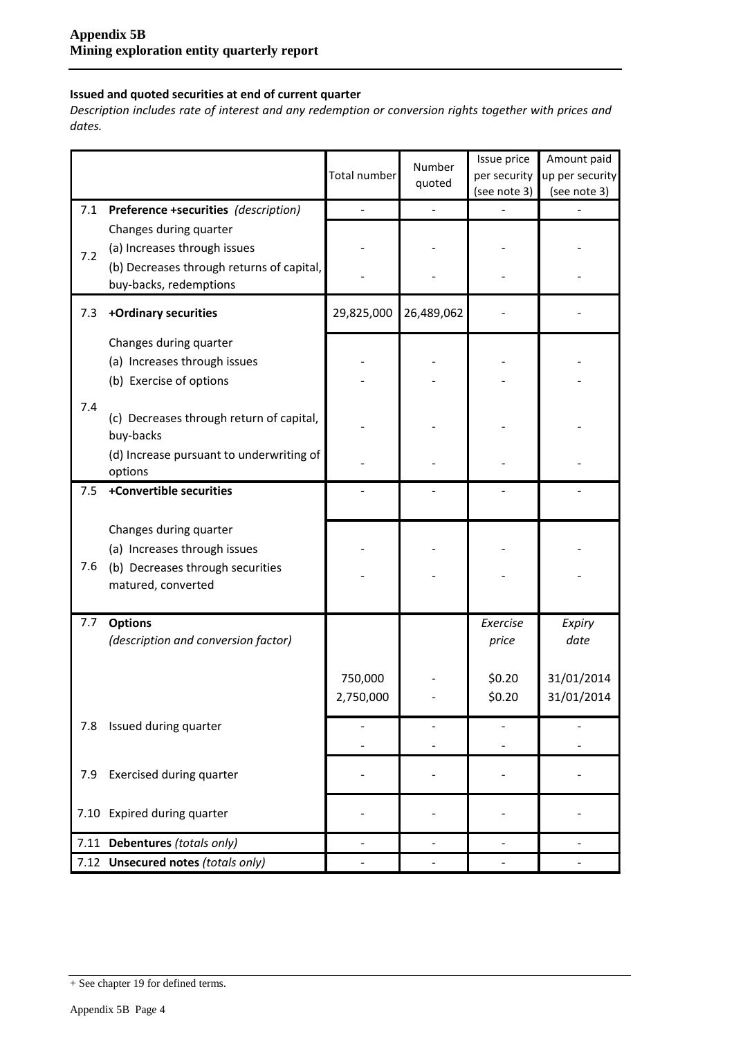### **Issued and quoted securities at end of current quarter**

*Description includes rate of interest and any redemption or conversion rights together with prices and dates.*

|     |                                                                                                                               | Number<br>Total number |            | Issue price<br>per security | Amount paid<br>up per security |
|-----|-------------------------------------------------------------------------------------------------------------------------------|------------------------|------------|-----------------------------|--------------------------------|
|     |                                                                                                                               |                        | quoted     | (see note 3)                | (see note 3)                   |
| 7.1 | Preference +securities (description)                                                                                          |                        |            |                             |                                |
| 7.2 | Changes during quarter<br>(a) Increases through issues<br>(b) Decreases through returns of capital,<br>buy-backs, redemptions |                        |            |                             |                                |
| 7.3 | +Ordinary securities                                                                                                          | 29,825,000             | 26,489,062 |                             |                                |
|     | Changes during quarter<br>(a) Increases through issues<br>(b) Exercise of options                                             |                        |            |                             |                                |
| 7.4 | (c) Decreases through return of capital,<br>buy-backs                                                                         |                        |            |                             |                                |
|     | (d) Increase pursuant to underwriting of<br>options                                                                           |                        |            |                             |                                |
| 7.5 | +Convertible securities                                                                                                       |                        |            |                             |                                |
| 7.6 | Changes during quarter<br>(a) Increases through issues<br>(b) Decreases through securities<br>matured, converted              |                        |            |                             |                                |
| 7.7 | <b>Options</b><br>(description and conversion factor)                                                                         |                        |            | Exercise<br>price           | Expiry<br>date                 |
|     |                                                                                                                               | 750,000<br>2,750,000   |            | \$0.20<br>\$0.20            | 31/01/2014<br>31/01/2014       |
| 7.8 | Issued during quarter                                                                                                         |                        |            |                             |                                |
| 7.9 | Exercised during quarter                                                                                                      |                        |            |                             |                                |
|     | 7.10 Expired during quarter                                                                                                   |                        |            |                             |                                |
|     | 7.11 Debentures (totals only)                                                                                                 |                        |            |                             |                                |
|     | 7.12 Unsecured notes (totals only)                                                                                            |                        |            |                             |                                |

<sup>+</sup> See chapter 19 for defined terms.